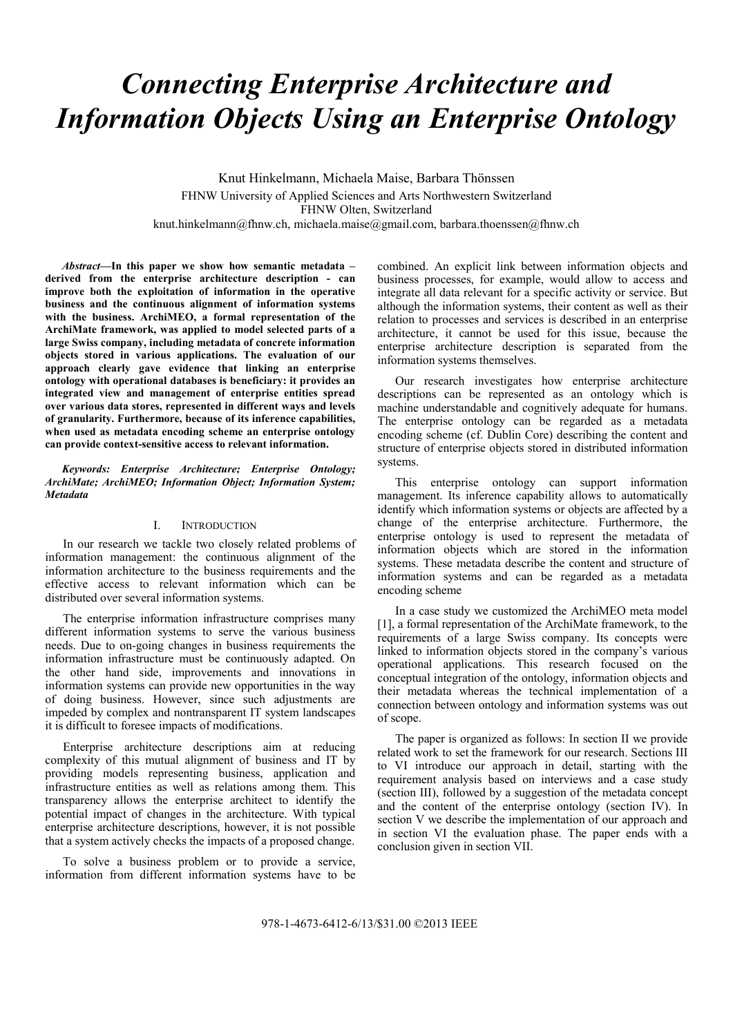# *Connecting Enterprise Architecture and Information Objects Using an Enterprise Ontology*

Knut Hinkelmann, Michaela Maise, Barbara Thönssen FHNW University of Applied Sciences and Arts Northwestern Switzerland FHNW Olten, Switzerland knut.hinkelmann@fhnw.ch, michaela.maise@gmail.com, barbara.thoenssen@fhnw.ch

*Abstract***—In this paper we show how semantic metadata – derived from the enterprise architecture description - can improve both the exploitation of information in the operative business and the continuous alignment of information systems with the business. ArchiMEO, a formal representation of the ArchiMate framework, was applied to model selected parts of a large Swiss company, including metadata of concrete information objects stored in various applications. The evaluation of our approach clearly gave evidence that linking an enterprise ontology with operational databases is beneficiary: it provides an integrated view and management of enterprise entities spread over various data stores, represented in different ways and levels of granularity. Furthermore, because of its inference capabilities, when used as metadata encoding scheme an enterprise ontology can provide context-sensitive access to relevant information.** 

*Keywords: Enterprise Architecture; Enterprise Ontology; ArchiMate; ArchiMEO; Information Object; Information System; Metadata* 

#### I. INTRODUCTION

In our research we tackle two closely related problems of information management: the continuous alignment of the information architecture to the business requirements and the effective access to relevant information which can be distributed over several information systems.

The enterprise information infrastructure comprises many different information systems to serve the various business needs. Due to on-going changes in business requirements the information infrastructure must be continuously adapted. On the other hand side, improvements and innovations in information systems can provide new opportunities in the way of doing business. However, since such adjustments are impeded by complex and nontransparent IT system landscapes it is difficult to foresee impacts of modifications.

Enterprise architecture descriptions aim at reducing complexity of this mutual alignment of business and IT by providing models representing business, application and infrastructure entities as well as relations among them. This transparency allows the enterprise architect to identify the potential impact of changes in the architecture. With typical enterprise architecture descriptions, however, it is not possible that a system actively checks the impacts of a proposed change.

To solve a business problem or to provide a service, information from different information systems have to be combined. An explicit link between information objects and business processes, for example, would allow to access and integrate all data relevant for a specific activity or service. But although the information systems, their content as well as their relation to processes and services is described in an enterprise architecture, it cannot be used for this issue, because the enterprise architecture description is separated from the information systems themselves.

Our research investigates how enterprise architecture descriptions can be represented as an ontology which is machine understandable and cognitively adequate for humans. The enterprise ontology can be regarded as a metadata encoding scheme (cf. Dublin Core) describing the content and structure of enterprise objects stored in distributed information systems.

This enterprise ontology can support information management. Its inference capability allows to automatically identify which information systems or objects are affected by a change of the enterprise architecture. Furthermore, the enterprise ontology is used to represent the metadata of information objects which are stored in the information systems. These metadata describe the content and structure of information systems and can be regarded as a metadata encoding scheme

In a case study we customized the ArchiMEO meta model [1], a formal representation of the ArchiMate framework, to the requirements of a large Swiss company. Its concepts were linked to information objects stored in the company's various operational applications. This research focused on the conceptual integration of the ontology, information objects and their metadata whereas the technical implementation of a connection between ontology and information systems was out of scope.

The paper is organized as follows: In section II we provide related work to set the framework for our research. Sections III to VI introduce our approach in detail, starting with the requirement analysis based on interviews and a case study (section III), followed by a suggestion of the metadata concept and the content of the enterprise ontology (section IV). In section V we describe the implementation of our approach and in section VI the evaluation phase. The paper ends with a conclusion given in section VII.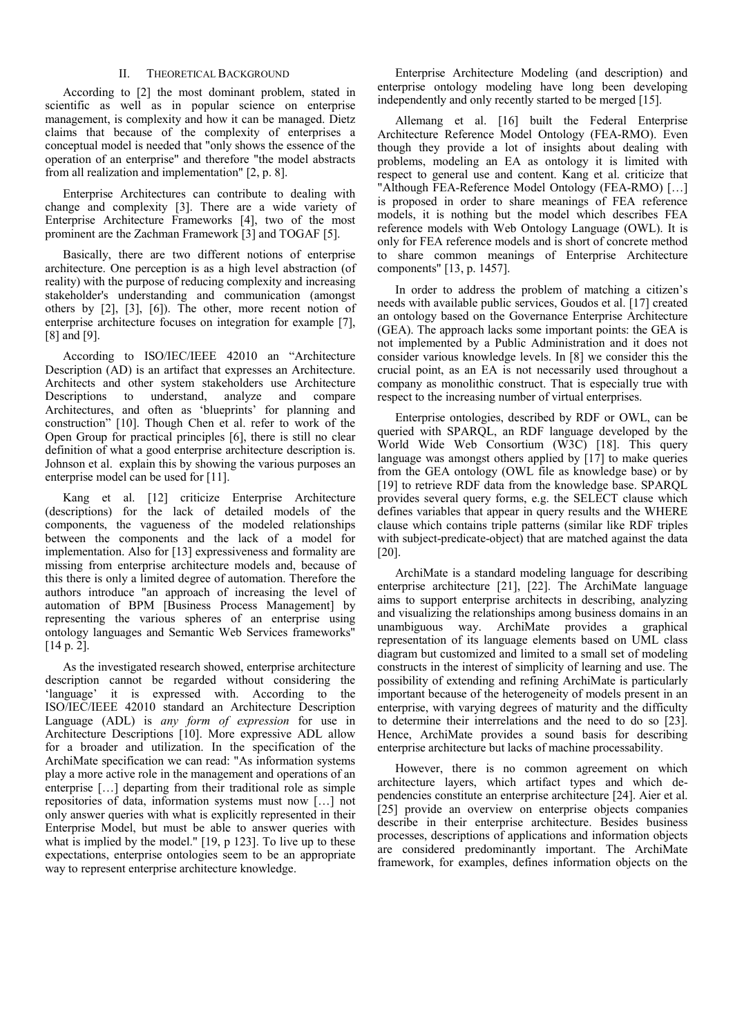## II. THEORETICAL BACKGROUND

According to [2] the most dominant problem, stated in scientific as well as in popular science on enterprise management, is complexity and how it can be managed. Dietz claims that because of the complexity of enterprises a conceptual model is needed that "only shows the essence of the operation of an enterprise" and therefore "the model abstracts from all realization and implementation" [2, p. 8].

Enterprise Architectures can contribute to dealing with change and complexity [3]. There are a wide variety of Enterprise Architecture Frameworks [4], two of the most prominent are the Zachman Framework [3] and TOGAF [5].

Basically, there are two different notions of enterprise architecture. One perception is as a high level abstraction (of reality) with the purpose of reducing complexity and increasing stakeholder's understanding and communication (amongst others by [2], [3], [6]). The other, more recent notion of enterprise architecture focuses on integration for example [7], [8] and [9].

According to ISO/IEC/IEEE 42010 an "Architecture Description (AD) is an artifact that expresses an Architecture. Architects and other system stakeholders use Architecture Descriptions to understand, analyze and compare Architectures, and often as 'blueprints' for planning and construction" [10]. Though Chen et al. refer to work of the Open Group for practical principles [6], there is still no clear definition of what a good enterprise architecture description is. Johnson et al. explain this by showing the various purposes an enterprise model can be used for [11].

Kang et al. [12] criticize Enterprise Architecture (descriptions) for the lack of detailed models of the components, the vagueness of the modeled relationships between the components and the lack of a model for implementation. Also for [13] expressiveness and formality are missing from enterprise architecture models and, because of this there is only a limited degree of automation. Therefore the authors introduce "an approach of increasing the level of automation of BPM [Business Process Management] by representing the various spheres of an enterprise using ontology languages and Semantic Web Services frameworks" [14 p. 2].

As the investigated research showed, enterprise architecture description cannot be regarded without considering the 'language' it is expressed with. According to the ISO/IEC/IEEE 42010 standard an Architecture Description Language (ADL) is *any form of expression* for use in Architecture Descriptions [10]. More expressive ADL allow for a broader and utilization. In the specification of the ArchiMate specification we can read: "As information systems play a more active role in the management and operations of an enterprise […] departing from their traditional role as simple repositories of data, information systems must now […] not only answer queries with what is explicitly represented in their Enterprise Model, but must be able to answer queries with what is implied by the model." [19, p 123]. To live up to these expectations, enterprise ontologies seem to be an appropriate way to represent enterprise architecture knowledge.

Enterprise Architecture Modeling (and description) and enterprise ontology modeling have long been developing independently and only recently started to be merged [15].

Allemang et al. [16] built the Federal Enterprise Architecture Reference Model Ontology (FEA-RMO). Even though they provide a lot of insights about dealing with problems, modeling an EA as ontology it is limited with respect to general use and content. Kang et al. criticize that "Although FEA-Reference Model Ontology (FEA-RMO) […] is proposed in order to share meanings of FEA reference models, it is nothing but the model which describes FEA reference models with Web Ontology Language (OWL). It is only for FEA reference models and is short of concrete method to share common meanings of Enterprise Architecture components" [13, p. 1457].

In order to address the problem of matching a citizen's needs with available public services, Goudos et al. [17] created an ontology based on the Governance Enterprise Architecture (GEA). The approach lacks some important points: the GEA is not implemented by a Public Administration and it does not consider various knowledge levels. In [8] we consider this the crucial point, as an EA is not necessarily used throughout a company as monolithic construct. That is especially true with respect to the increasing number of virtual enterprises.

Enterprise ontologies, described by RDF or OWL, can be queried with SPARQL, an RDF language developed by the World Wide Web Consortium (W3C) [18]. This query language was amongst others applied by [17] to make queries from the GEA ontology (OWL file as knowledge base) or by [19] to retrieve RDF data from the knowledge base. SPARQL provides several query forms, e.g. the SELECT clause which defines variables that appear in query results and the WHERE clause which contains triple patterns (similar like RDF triples with subject-predicate-object) that are matched against the data [20].

ArchiMate is a standard modeling language for describing enterprise architecture [21], [22]. The ArchiMate language aims to support enterprise architects in describing, analyzing and visualizing the relationships among business domains in an unambiguous way. ArchiMate provides a graphical representation of its language elements based on UML class diagram but customized and limited to a small set of modeling constructs in the interest of simplicity of learning and use. The possibility of extending and refining ArchiMate is particularly important because of the heterogeneity of models present in an enterprise, with varying degrees of maturity and the difficulty to determine their interrelations and the need to do so [23]. Hence, ArchiMate provides a sound basis for describing enterprise architecture but lacks of machine processability.

However, there is no common agreement on which architecture layers, which artifact types and which dependencies constitute an enterprise architecture [24]. Aier et al. [25] provide an overview on enterprise objects companies describe in their enterprise architecture. Besides business processes, descriptions of applications and information objects are considered predominantly important. The ArchiMate framework, for examples, defines information objects on the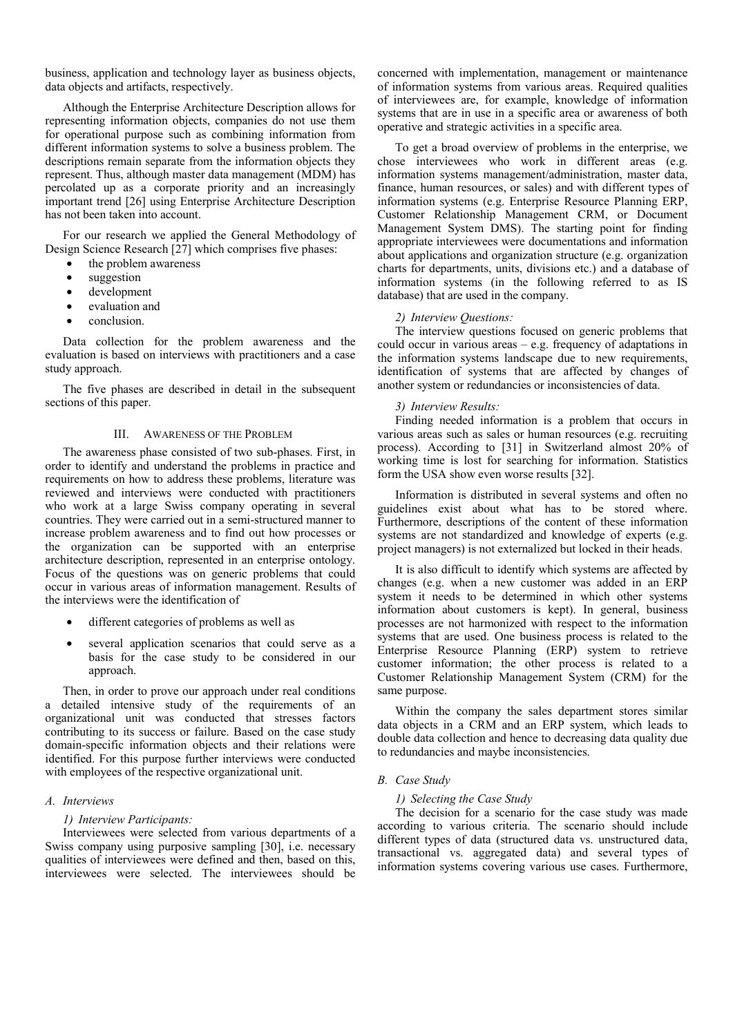business, application and technology layer as business objects, data objects and artifacts, respectively.

Although the Enterprise Architecture Description allows for representing information objects, companies do not use them for operational purpose such as combining information from different information systems to solve a business problem. The descriptions remain separate from the information objects they represent. Thus, although master data management (MDM) has percolated up as a corporate priority and an increasingly important trend [26] using Enterprise Architecture Description has not been taken into account.

For our research we applied the General Methodology of Design Science Research [27] which comprises five phases:

- the problem awareness
- suggestion
- development
- evaluation and
- conclusion.

Data collection for the problem awareness and the evaluation is based on interviews with practitioners and a case study approach.

The five phases are described in detail in the subsequent sections of this paper.

#### III. AWARENESS OF THE PROBLEM

The awareness phase consisted of two sub-phases. First, in order to identify and understand the problems in practice and requirements on how to address these problems, literature was reviewed and interviews were conducted with practitioners who work at a large Swiss company operating in several countries. They were carried out in a semi-structured manner to increase problem awareness and to find out how processes or the organization can be supported with an enterprise architecture description, represented in an enterprise ontology. Focus of the questions was on generic problems that could occur in various areas of information management. Results of the interviews were the identification of

- different categories of problems as well as
- several application scenarios that could serve as a basis for the case study to be considered in our approach.

Then, in order to prove our approach under real conditions a detailed intensive study of the requirements of an organizational unit was conducted that stresses factors contributing to its success or failure. Based on the case study domain-specific information objects and their relations were identified. For this purpose further interviews were conducted with employees of the respective organizational unit.

## *A. Interviews*

#### *1) Interview Participants:*

Interviewees were selected from various departments of a Swiss company using purposive sampling [30], i.e. necessary qualities of interviewees were defined and then, based on this, interviewees were selected. The interviewees should be

concerned with implementation, management or maintenance of information systems from various areas. Required qualities of interviewees are, for example, knowledge of information systems that are in use in a specific area or awareness of both operative and strategic activities in a specific area.

To get a broad overview of problems in the enterprise, we chose interviewees who work in different areas (e.g. information systems management/administration, master data, finance, human resources, or sales) and with different types of information systems (e.g. Enterprise Resource Planning ERP, Customer Relationship Management CRM, or Document Management System DMS). The starting point for finding appropriate interviewees were documentations and information about applications and organization structure (e.g. organization charts for departments, units, divisions etc.) and a database of information systems (in the following referred to as IS database) that are used in the company.

### *2) Interview Questions:*

The interview questions focused on generic problems that could occur in various areas – e.g. frequency of adaptations in the information systems landscape due to new requirements, identification of systems that are affected by changes of another system or redundancies or inconsistencies of data.

#### *3) Interview Results:*

Finding needed information is a problem that occurs in various areas such as sales or human resources (e.g. recruiting process). According to [31] in Switzerland almost 20% of working time is lost for searching for information. Statistics form the USA show even worse results [32].

Information is distributed in several systems and often no guidelines exist about what has to be stored where. Furthermore, descriptions of the content of these information systems are not standardized and knowledge of experts (e.g. project managers) is not externalized but locked in their heads.

It is also difficult to identify which systems are affected by changes (e.g. when a new customer was added in an ERP system it needs to be determined in which other systems information about customers is kept). In general, business processes are not harmonized with respect to the information systems that are used. One business process is related to the Enterprise Resource Planning (ERP) system to retrieve customer information; the other process is related to a Customer Relationship Management System (CRM) for the same purpose.

Within the company the sales department stores similar data objects in a CRM and an ERP system, which leads to double data collection and hence to decreasing data quality due to redundancies and maybe inconsistencies.

#### *B. Case Study*

#### *1) Selecting the Case Study*

The decision for a scenario for the case study was made according to various criteria. The scenario should include different types of data (structured data vs. unstructured data, transactional vs. aggregated data) and several types of information systems covering various use cases. Furthermore,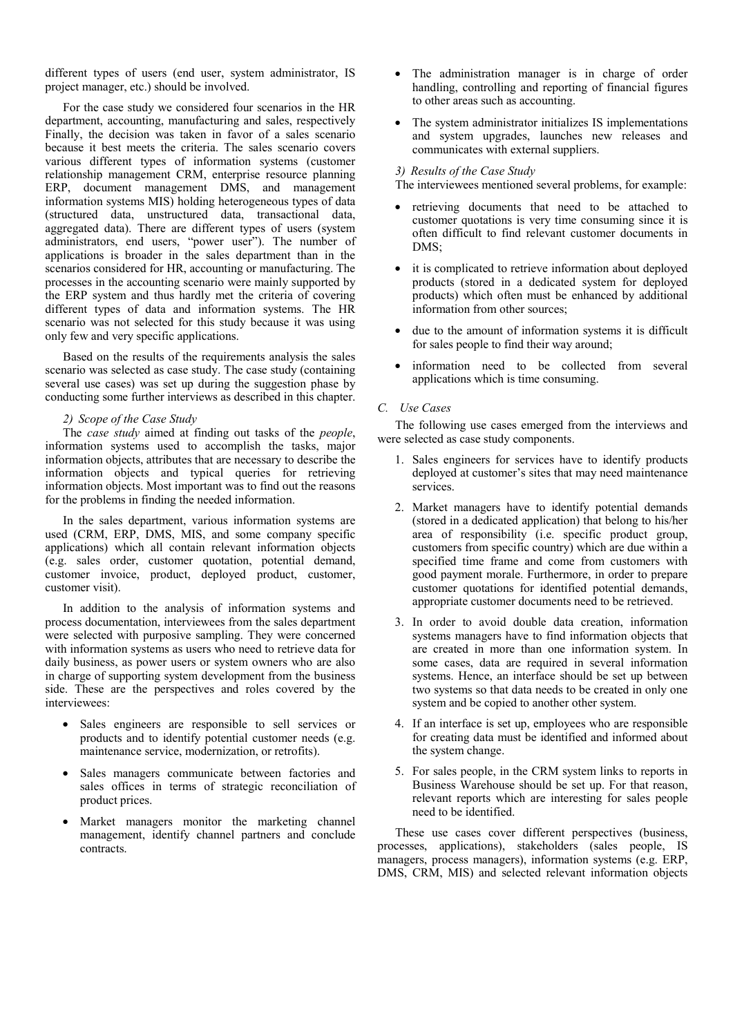different types of users (end user, system administrator, IS project manager, etc.) should be involved.

For the case study we considered four scenarios in the HR department, accounting, manufacturing and sales, respectively Finally, the decision was taken in favor of a sales scenario because it best meets the criteria. The sales scenario covers various different types of information systems (customer relationship management CRM, enterprise resource planning ERP, document management DMS, and management information systems MIS) holding heterogeneous types of data (structured data, unstructured data, transactional data, aggregated data). There are different types of users (system administrators, end users, "power user"). The number of applications is broader in the sales department than in the scenarios considered for HR, accounting or manufacturing. The processes in the accounting scenario were mainly supported by the ERP system and thus hardly met the criteria of covering different types of data and information systems. The HR scenario was not selected for this study because it was using only few and very specific applications.

Based on the results of the requirements analysis the sales scenario was selected as case study. The case study (containing several use cases) was set up during the suggestion phase by conducting some further interviews as described in this chapter.

## *2) Scope of the Case Study*

The *case study* aimed at finding out tasks of the *people*, information systems used to accomplish the tasks, major information objects, attributes that are necessary to describe the information objects and typical queries for retrieving information objects. Most important was to find out the reasons for the problems in finding the needed information.

In the sales department, various information systems are used (CRM, ERP, DMS, MIS, and some company specific applications) which all contain relevant information objects (e.g. sales order, customer quotation, potential demand, customer invoice, product, deployed product, customer, customer visit).

In addition to the analysis of information systems and process documentation, interviewees from the sales department were selected with purposive sampling. They were concerned with information systems as users who need to retrieve data for daily business, as power users or system owners who are also in charge of supporting system development from the business side. These are the perspectives and roles covered by the interviewees:

- Sales engineers are responsible to sell services or products and to identify potential customer needs (e.g. maintenance service, modernization, or retrofits).
- Sales managers communicate between factories and sales offices in terms of strategic reconciliation of product prices.
- Market managers monitor the marketing channel management, identify channel partners and conclude contracts.
- The administration manager is in charge of order handling, controlling and reporting of financial figures to other areas such as accounting.
- The system administrator initializes IS implementations and system upgrades, launches new releases and communicates with external suppliers.

## *3) Results of the Case Study*

The interviewees mentioned several problems, for example:

- retrieving documents that need to be attached to customer quotations is very time consuming since it is often difficult to find relevant customer documents in DMS;
- it is complicated to retrieve information about deployed products (stored in a dedicated system for deployed products) which often must be enhanced by additional information from other sources;
- due to the amount of information systems it is difficult for sales people to find their way around;
- information need to be collected from several applications which is time consuming.

## *C. Use Cases*

The following use cases emerged from the interviews and were selected as case study components.

- 1. Sales engineers for services have to identify products deployed at customer's sites that may need maintenance services.
- 2. Market managers have to identify potential demands (stored in a dedicated application) that belong to his/her area of responsibility (i.e. specific product group, customers from specific country) which are due within a specified time frame and come from customers with good payment morale. Furthermore, in order to prepare customer quotations for identified potential demands, appropriate customer documents need to be retrieved.
- 3. In order to avoid double data creation, information systems managers have to find information objects that are created in more than one information system. In some cases, data are required in several information systems. Hence, an interface should be set up between two systems so that data needs to be created in only one system and be copied to another other system.
- 4. If an interface is set up, employees who are responsible for creating data must be identified and informed about the system change.
- 5. For sales people, in the CRM system links to reports in Business Warehouse should be set up. For that reason, relevant reports which are interesting for sales people need to be identified.

These use cases cover different perspectives (business, processes, applications), stakeholders (sales people, IS managers, process managers), information systems (e.g. ERP, DMS, CRM, MIS) and selected relevant information objects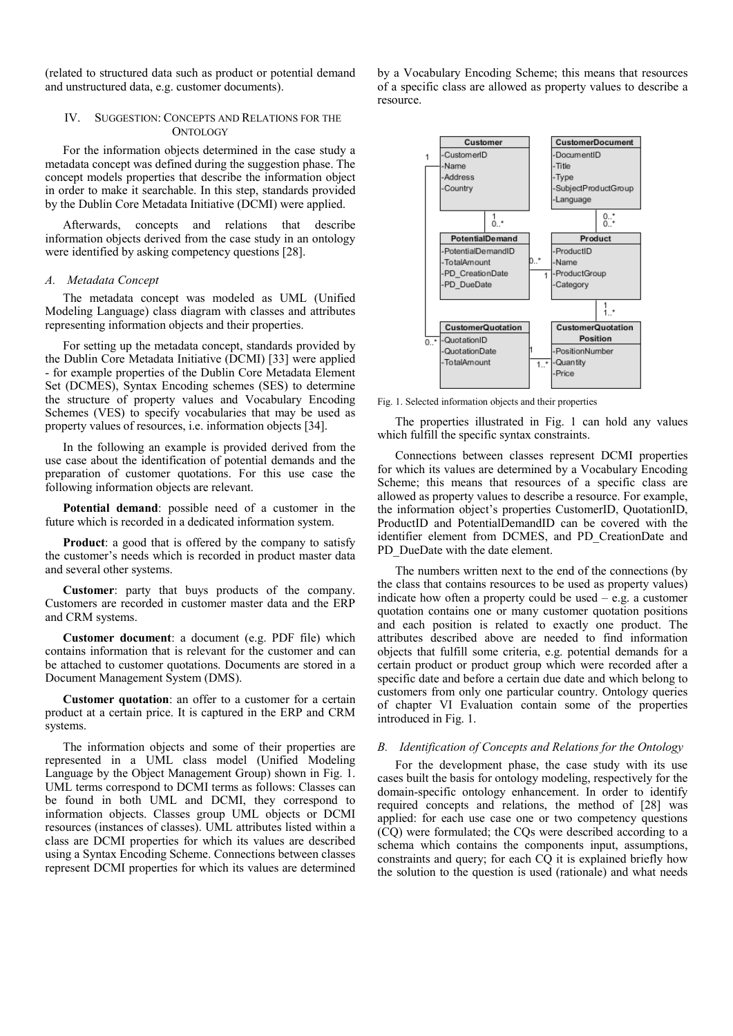(related to structured data such as product or potential demand and unstructured data, e.g. customer documents).

## IV. SUGGESTION: CONCEPTS AND RELATIONS FOR THE ONTOLOGY

For the information objects determined in the case study a metadata concept was defined during the suggestion phase. The concept models properties that describe the information object in order to make it searchable. In this step, standards provided by the Dublin Core Metadata Initiative (DCMI) were applied.

Afterwards, concepts and relations that describe information objects derived from the case study in an ontology were identified by asking competency questions [28].

#### *A. Metadata Concept*

The metadata concept was modeled as UML (Unified Modeling Language) class diagram with classes and attributes representing information objects and their properties.

For setting up the metadata concept, standards provided by the Dublin Core Metadata Initiative (DCMI) [33] were applied - for example properties of the Dublin Core Metadata Element Set (DCMES), Syntax Encoding schemes (SES) to determine the structure of property values and Vocabulary Encoding Schemes (VES) to specify vocabularies that may be used as property values of resources, i.e. information objects [34].

In the following an example is provided derived from the use case about the identification of potential demands and the preparation of customer quotations. For this use case the following information objects are relevant.

**Potential demand**: possible need of a customer in the future which is recorded in a dedicated information system.

**Product**: a good that is offered by the company to satisfy the customer's needs which is recorded in product master data and several other systems.

**Customer**: party that buys products of the company. Customers are recorded in customer master data and the ERP and CRM systems.

**Customer document**: a document (e.g. PDF file) which contains information that is relevant for the customer and can be attached to customer quotations. Documents are stored in a Document Management System (DMS).

**Customer quotation**: an offer to a customer for a certain product at a certain price. It is captured in the ERP and CRM systems.

The information objects and some of their properties are represented in a UML class model (Unified Modeling Language by the Object Management Group) shown in Fig. 1. UML terms correspond to DCMI terms as follows: Classes can be found in both UML and DCMI, they correspond to information objects. Classes group UML objects or DCMI resources (instances of classes). UML attributes listed within a class are DCMI properties for which its values are described using a Syntax Encoding Scheme. Connections between classes represent DCMI properties for which its values are determined by a Vocabulary Encoding Scheme; this means that resources of a specific class are allowed as property values to describe a resource.



Fig. 1. Selected information objects and their properties

The properties illustrated in Fig. 1 can hold any values which fulfill the specific syntax constraints.

Connections between classes represent DCMI properties for which its values are determined by a Vocabulary Encoding Scheme; this means that resources of a specific class are allowed as property values to describe a resource. For example, the information object's properties CustomerID, QuotationID, ProductID and PotentialDemandID can be covered with the identifier element from DCMES, and PD\_CreationDate and PD DueDate with the date element.

The numbers written next to the end of the connections (by the class that contains resources to be used as property values) indicate how often a property could be used  $-$  e.g. a customer quotation contains one or many customer quotation positions and each position is related to exactly one product. The attributes described above are needed to find information objects that fulfill some criteria, e.g. potential demands for a certain product or product group which were recorded after a specific date and before a certain due date and which belong to customers from only one particular country. Ontology queries of chapter VI Evaluation contain some of the properties introduced in Fig. 1.

## *B. Identification of Concepts and Relations for the Ontology*

For the development phase, the case study with its use cases built the basis for ontology modeling, respectively for the domain-specific ontology enhancement. In order to identify required concepts and relations, the method of [28] was applied: for each use case one or two competency questions (CQ) were formulated; the CQs were described according to a schema which contains the components input, assumptions, constraints and query; for each CQ it is explained briefly how the solution to the question is used (rationale) and what needs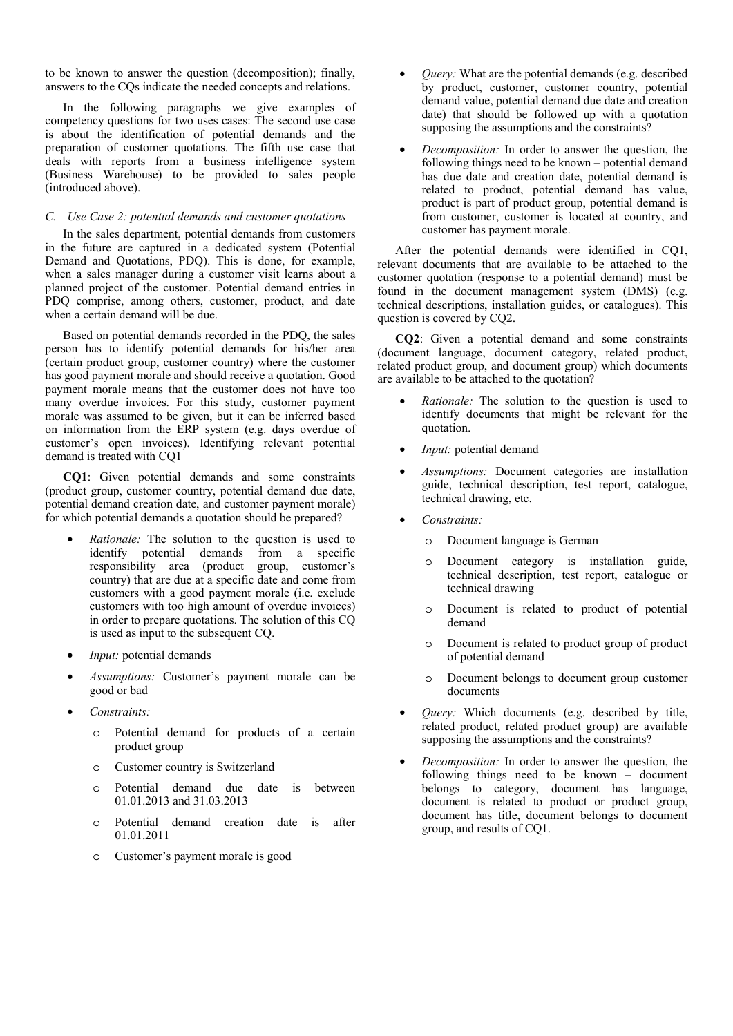to be known to answer the question (decomposition); finally, answers to the CQs indicate the needed concepts and relations.

In the following paragraphs we give examples of competency questions for two uses cases: The second use case is about the identification of potential demands and the preparation of customer quotations. The fifth use case that deals with reports from a business intelligence system (Business Warehouse) to be provided to sales people (introduced above).

## *C. Use Case 2: potential demands and customer quotations*

In the sales department, potential demands from customers in the future are captured in a dedicated system (Potential Demand and Quotations, PDQ). This is done, for example, when a sales manager during a customer visit learns about a planned project of the customer. Potential demand entries in PDQ comprise, among others, customer, product, and date when a certain demand will be due.

Based on potential demands recorded in the PDQ, the sales person has to identify potential demands for his/her area (certain product group, customer country) where the customer has good payment morale and should receive a quotation. Good payment morale means that the customer does not have too many overdue invoices. For this study, customer payment morale was assumed to be given, but it can be inferred based on information from the ERP system (e.g. days overdue of customer's open invoices). Identifying relevant potential demand is treated with CQ1

**CQ1**: Given potential demands and some constraints (product group, customer country, potential demand due date, potential demand creation date, and customer payment morale) for which potential demands a quotation should be prepared?

- *Rationale:* The solution to the question is used to identify potential demands from a specific responsibility area (product group, customer's country) that are due at a specific date and come from customers with a good payment morale (i.e. exclude customers with too high amount of overdue invoices) in order to prepare quotations. The solution of this CQ is used as input to the subsequent CQ.
- *Input:* potential demands
- *Assumptions:* Customer's payment morale can be good or bad
- *Constraints:* 
	- o Potential demand for products of a certain product group
	- o Customer country is Switzerland
	- o Potential demand due date is between 01.01.2013 and 31.03.2013
	- o Potential demand creation date is after 01.01.2011
	- o Customer's payment morale is good
- *Query:* What are the potential demands (e.g. described by product, customer, customer country, potential demand value, potential demand due date and creation date) that should be followed up with a quotation supposing the assumptions and the constraints?
- *Decomposition:* In order to answer the question, the following things need to be known – potential demand has due date and creation date, potential demand is related to product, potential demand has value, product is part of product group, potential demand is from customer, customer is located at country, and customer has payment morale.

After the potential demands were identified in CO1. relevant documents that are available to be attached to the customer quotation (response to a potential demand) must be found in the document management system (DMS) (e.g. technical descriptions, installation guides, or catalogues). This question is covered by CQ2.

**CQ2**: Given a potential demand and some constraints (document language, document category, related product, related product group, and document group) which documents are available to be attached to the quotation?

- *Rationale:* The solution to the question is used to identify documents that might be relevant for the quotation.
- Input: potential demand
- *Assumptions:* Document categories are installation guide, technical description, test report, catalogue, technical drawing, etc.
- *Constraints:* 
	- o Document language is German
	- o Document category is installation guide, technical description, test report, catalogue or technical drawing
	- o Document is related to product of potential demand
	- o Document is related to product group of product of potential demand
	- o Document belongs to document group customer documents
- *Query:* Which documents (e.g. described by title, related product, related product group) are available supposing the assumptions and the constraints?
- *Decomposition:* In order to answer the question, the following things need to be known – document belongs to category, document has language, document is related to product or product group, document has title, document belongs to document group, and results of CQ1.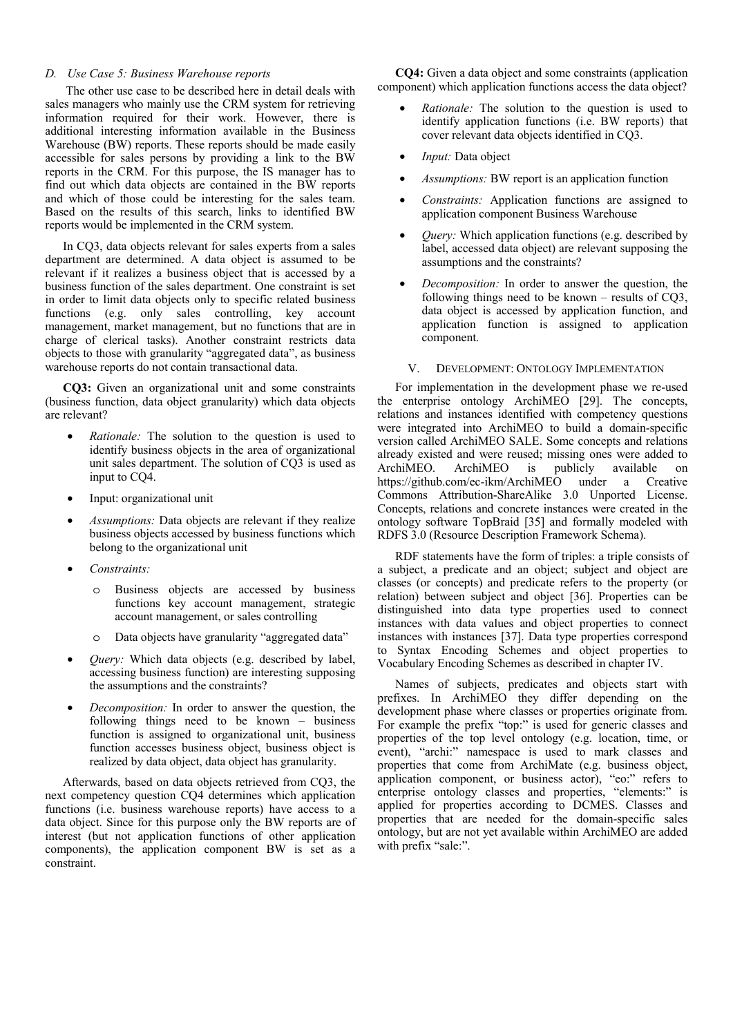#### *D. Use Case 5: Business Warehouse reports*

 The other use case to be described here in detail deals with sales managers who mainly use the CRM system for retrieving information required for their work. However, there is additional interesting information available in the Business Warehouse (BW) reports. These reports should be made easily accessible for sales persons by providing a link to the BW reports in the CRM. For this purpose, the IS manager has to find out which data objects are contained in the BW reports and which of those could be interesting for the sales team. Based on the results of this search, links to identified BW reports would be implemented in the CRM system.

In CQ3, data objects relevant for sales experts from a sales department are determined. A data object is assumed to be relevant if it realizes a business object that is accessed by a business function of the sales department. One constraint is set in order to limit data objects only to specific related business functions (e.g. only sales controlling, key account management, market management, but no functions that are in charge of clerical tasks). Another constraint restricts data objects to those with granularity "aggregated data", as business warehouse reports do not contain transactional data.

**CQ3:** Given an organizational unit and some constraints (business function, data object granularity) which data objects are relevant?

- *Rationale:* The solution to the question is used to identify business objects in the area of organizational unit sales department. The solution of CQ3 is used as input to CQ4.
- Input: organizational unit
- *Assumptions:* Data objects are relevant if they realize business objects accessed by business functions which belong to the organizational unit
- *Constraints:* 
	- o Business objects are accessed by business functions key account management, strategic account management, or sales controlling
	- o Data objects have granularity "aggregated data"
- *Ouery:* Which data objects (e.g. described by label, accessing business function) are interesting supposing the assumptions and the constraints?
- *Decomposition:* In order to answer the question, the following things need to be known – business function is assigned to organizational unit, business function accesses business object, business object is realized by data object, data object has granularity.

Afterwards, based on data objects retrieved from CQ3, the next competency question CQ4 determines which application functions (i.e. business warehouse reports) have access to a data object. Since for this purpose only the BW reports are of interest (but not application functions of other application components), the application component BW is set as a constraint.

**CQ4:** Given a data object and some constraints (application component) which application functions access the data object?

- *Rationale:* The solution to the question is used to identify application functions (i.e. BW reports) that cover relevant data objects identified in CQ3.
- *Input:* Data object
- *Assumptions:* BW report is an application function
- *Constraints:* Application functions are assigned to application component Business Warehouse
- *Ouery:* Which application functions (e.g. described by label, accessed data object) are relevant supposing the assumptions and the constraints?
- *Decomposition:* In order to answer the question, the following things need to be known – results of CQ3, data object is accessed by application function, and application function is assigned to application component.

## V. DEVELOPMENT: ONTOLOGY IMPLEMENTATION

For implementation in the development phase we re-used the enterprise ontology ArchiMEO [29]. The concepts, relations and instances identified with competency questions were integrated into ArchiMEO to build a domain-specific version called ArchiMEO SALE. Some concepts and relations already existed and were reused; missing ones were added to ArchiMEO. ArchiMEO is publicly available on https://github.com/ec-ikm/ArchiMEO under a Creative Commons Attribution-ShareAlike 3.0 Unported License. Concepts, relations and concrete instances were created in the ontology software TopBraid [35] and formally modeled with RDFS 3.0 (Resource Description Framework Schema).

RDF statements have the form of triples: a triple consists of a subject, a predicate and an object; subject and object are classes (or concepts) and predicate refers to the property (or relation) between subject and object [36]. Properties can be distinguished into data type properties used to connect instances with data values and object properties to connect instances with instances [37]. Data type properties correspond to Syntax Encoding Schemes and object properties to Vocabulary Encoding Schemes as described in chapter IV.

Names of subjects, predicates and objects start with prefixes. In ArchiMEO they differ depending on the development phase where classes or properties originate from. For example the prefix "top:" is used for generic classes and properties of the top level ontology (e.g. location, time, or event), "archi:" namespace is used to mark classes and properties that come from ArchiMate (e.g. business object, application component, or business actor), "eo:" refers to enterprise ontology classes and properties, "elements:" is applied for properties according to DCMES. Classes and properties that are needed for the domain-specific sales ontology, but are not yet available within ArchiMEO are added with prefix "sale:".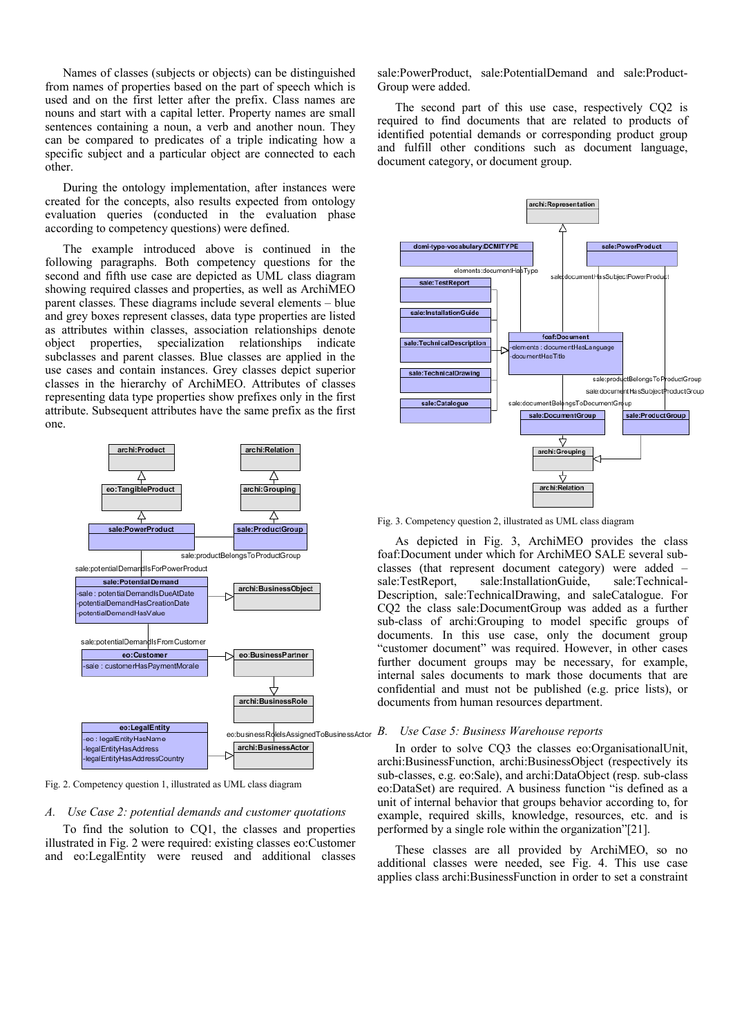Names of classes (subjects or objects) can be distinguished from names of properties based on the part of speech which is used and on the first letter after the prefix. Class names are nouns and start with a capital letter. Property names are small sentences containing a noun, a verb and another noun. They can be compared to predicates of a triple indicating how a specific subject and a particular object are connected to each other.

During the ontology implementation, after instances were created for the concepts, also results expected from ontology evaluation queries (conducted in the evaluation phase according to competency questions) were defined.

The example introduced above is continued in the following paragraphs. Both competency questions for the second and fifth use case are depicted as UML class diagram showing required classes and properties, as well as ArchiMEO parent classes. These diagrams include several elements – blue and grey boxes represent classes, data type properties are listed as attributes within classes, association relationships denote object properties, specialization relationships indicate subclasses and parent classes. Blue classes are applied in the use cases and contain instances. Grey classes depict superior classes in the hierarchy of ArchiMEO. Attributes of classes representing data type properties show prefixes only in the first attribute. Subsequent attributes have the same prefix as the first one.



Fig. 2. Competency question 1, illustrated as UML class diagram

## *A. Use Case 2: potential demands and customer quotations*

To find the solution to CQ1, the classes and properties illustrated in Fig. 2 were required: existing classes eo:Customer and eo:LegalEntity were reused and additional classes sale:PowerProduct, sale:PotentialDemand and sale:Product-Group were added.

The second part of this use case, respectively CQ2 is required to find documents that are related to products of identified potential demands or corresponding product group and fulfill other conditions such as document language, document category, or document group.



Fig. 3. Competency question 2, illustrated as UML class diagram

As depicted in Fig. 3, ArchiMEO provides the class foaf:Document under which for ArchiMEO SALE several subclasses (that represent document category) were added – sale:TestReport, sale:InstallationGuide, sale:Technical-Description, sale:TechnicalDrawing, and saleCatalogue. For CQ2 the class sale:DocumentGroup was added as a further sub-class of archi:Grouping to model specific groups of documents. In this use case, only the document group "customer document" was required. However, in other cases further document groups may be necessary, for example, internal sales documents to mark those documents that are confidential and must not be published (e.g. price lists), or documents from human resources department.

## *B. Use Case 5: Business Warehouse reports*

In order to solve CQ3 the classes eo:OrganisationalUnit, archi:BusinessFunction, archi:BusinessObject (respectively its sub-classes, e.g. eo:Sale), and archi:DataObject (resp. sub-class eo:DataSet) are required. A business function "is defined as a unit of internal behavior that groups behavior according to, for example, required skills, knowledge, resources, etc. and is performed by a single role within the organization"[21].

These classes are all provided by ArchiMEO, so no additional classes were needed, see Fig. 4. This use case applies class archi:BusinessFunction in order to set a constraint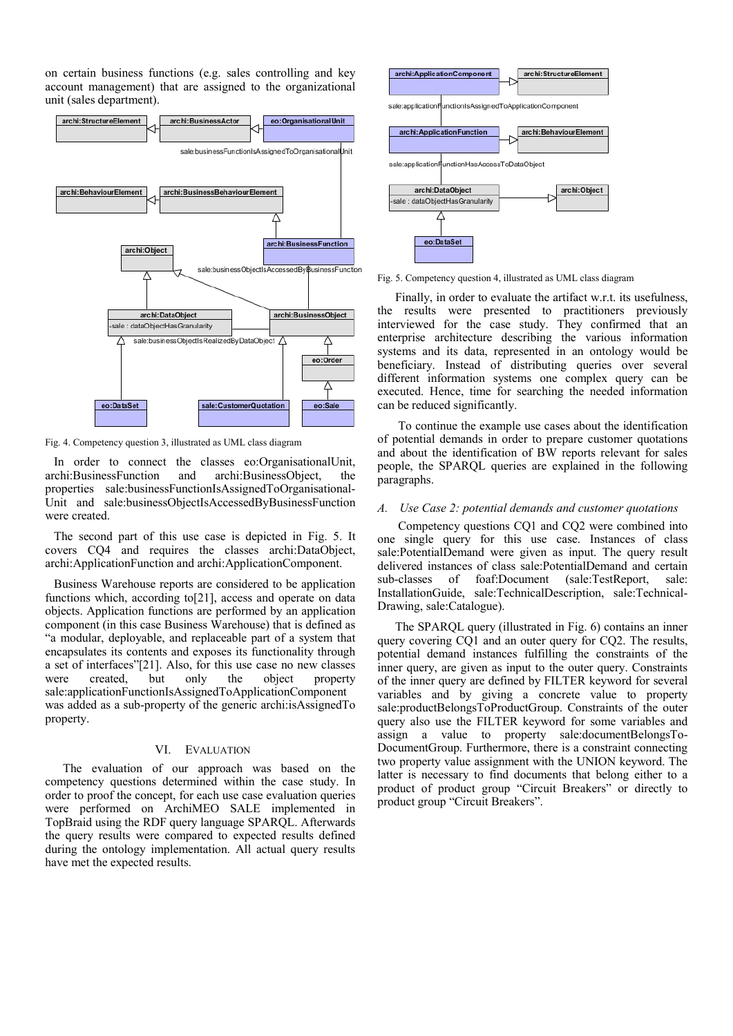on certain business functions (e.g. sales controlling and key account management) that are assigned to the organizational unit (sales department).



Fig. 4. Competency question 3, illustrated as UML class diagram

In order to connect the classes eo:OrganisationalUnit, archi:BusinessFunction and archi:BusinessObject, the properties sale:businessFunctionIsAssignedToOrganisational-Unit and sale:businessObjectIsAccessedByBusinessFunction were created.

The second part of this use case is depicted in Fig. 5. It covers CQ4 and requires the classes archi:DataObject, archi:ApplicationFunction and archi:ApplicationComponent.

Business Warehouse reports are considered to be application functions which, according to[21], access and operate on data objects. Application functions are performed by an application component (in this case Business Warehouse) that is defined as "a modular, deployable, and replaceable part of a system that encapsulates its contents and exposes its functionality through a set of interfaces"[21]. Also, for this use case no new classes were created, but only the object property sale:applicationFunctionIsAssignedToApplicationComponent was added as a sub-property of the generic archi:isAssignedTo property.

## VI. EVALUATION

The evaluation of our approach was based on the competency questions determined within the case study. In order to proof the concept, for each use case evaluation queries were performed on ArchiMEO SALE implemented in TopBraid using the RDF query language SPARQL. Afterwards the query results were compared to expected results defined during the ontology implementation. All actual query results have met the expected results.



Fig. 5. Competency question 4, illustrated as UML class diagram

Finally, in order to evaluate the artifact w.r.t. its usefulness, the results were presented to practitioners previously interviewed for the case study. They confirmed that an enterprise architecture describing the various information systems and its data, represented in an ontology would be beneficiary. Instead of distributing queries over several different information systems one complex query can be executed. Hence, time for searching the needed information can be reduced significantly.

 To continue the example use cases about the identification of potential demands in order to prepare customer quotations and about the identification of BW reports relevant for sales people, the SPARQL queries are explained in the following paragraphs.

#### *A. Use Case 2: potential demands and customer quotations*

 Competency questions CQ1 and CQ2 were combined into one single query for this use case. Instances of class sale:PotentialDemand were given as input. The query result delivered instances of class sale:PotentialDemand and certain sub-classes of foaf:Document (sale:TestReport, sale: InstallationGuide, sale:TechnicalDescription, sale:Technical-Drawing, sale:Catalogue).

The SPARQL query (illustrated in Fig. 6) contains an inner query covering CQ1 and an outer query for CQ2. The results, potential demand instances fulfilling the constraints of the inner query, are given as input to the outer query. Constraints of the inner query are defined by FILTER keyword for several variables and by giving a concrete value to property sale:productBelongsToProductGroup. Constraints of the outer query also use the FILTER keyword for some variables and assign a value to property sale:documentBelongsTo-DocumentGroup. Furthermore, there is a constraint connecting two property value assignment with the UNION keyword. The latter is necessary to find documents that belong either to a product of product group "Circuit Breakers" or directly to product group "Circuit Breakers".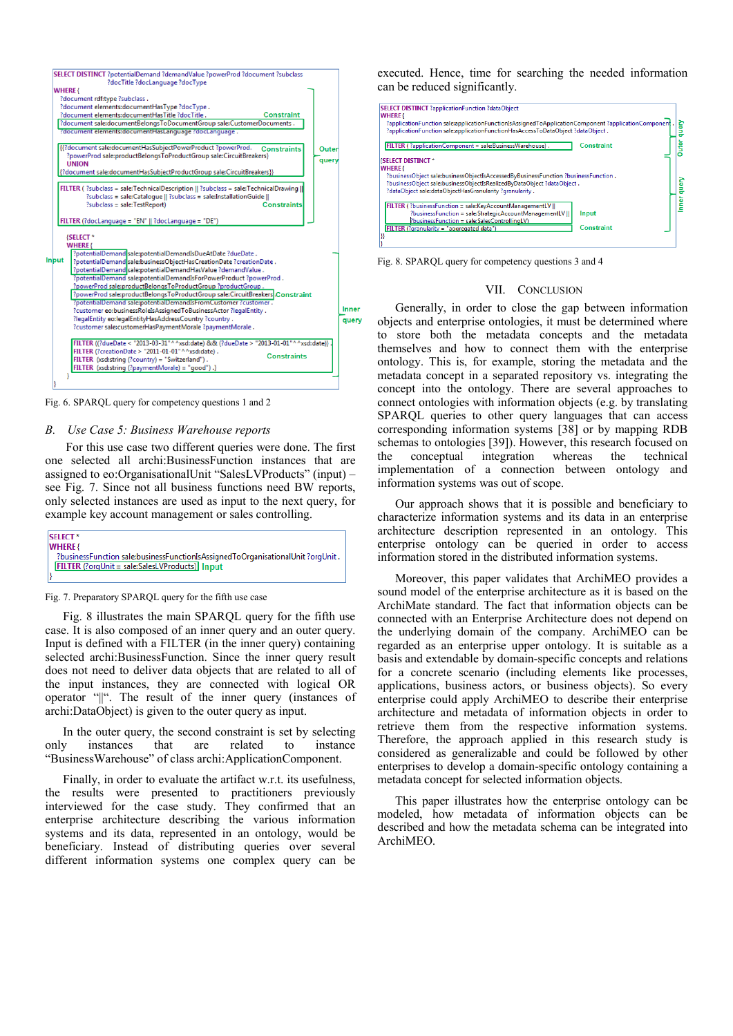

Fig. 6. SPARQL query for competency questions 1 and 2

#### *B. Use Case 5: Business Warehouse reports*

 For this use case two different queries were done. The first one selected all archi:BusinessFunction instances that are assigned to eo:OrganisationalUnit "SalesLVProducts" (input) – see Fig. 7. Since not all business functions need BW reports, only selected instances are used as input to the next query, for example key account management or sales controlling.

| SELECT <sup>*</sup>                                                              |
|----------------------------------------------------------------------------------|
| <b>WHERE {</b>                                                                   |
|                                                                                  |
| ?businessFunction sale:businessFunctionIsAssignedToOrganisationalUnit ?orgUnit . |
| <b>FILTER</b> (?orgUnit = sale:SalesLVProducts) Input                            |
|                                                                                  |

#### Fig. 7. Preparatory SPARQL query for the fifth use case

Fig. 8 illustrates the main SPARQL query for the fifth use case. It is also composed of an inner query and an outer query. Input is defined with a FILTER (in the inner query) containing selected archi:BusinessFunction. Since the inner query result does not need to deliver data objects that are related to all of the input instances, they are connected with logical OR operator "||". The result of the inner query (instances of archi:DataObject) is given to the outer query as input.

In the outer query, the second constraint is set by selecting only instances that are related to instance "BusinessWarehouse" of class archi:ApplicationComponent.

Finally, in order to evaluate the artifact w.r.t. its usefulness, the results were presented to practitioners previously interviewed for the case study. They confirmed that an enterprise architecture describing the various information systems and its data, represented in an ontology, would be beneficiary. Instead of distributing queries over several different information systems one complex query can be

executed. Hence, time for searching the needed information can be reduced significantly.



Fig. 8. SPARQL query for competency questions 3 and 4

#### VII. CONCLUSION

Generally, in order to close the gap between information objects and enterprise ontologies, it must be determined where to store both the metadata concepts and the metadata themselves and how to connect them with the enterprise ontology. This is, for example, storing the metadata and the metadata concept in a separated repository vs. integrating the concept into the ontology. There are several approaches to connect ontologies with information objects (e.g. by translating SPARQL queries to other query languages that can access corresponding information systems [38] or by mapping RDB schemas to ontologies [39]). However, this research focused on the conceptual integration whereas the technical implementation of a connection between ontology and information systems was out of scope.

Our approach shows that it is possible and beneficiary to characterize information systems and its data in an enterprise architecture description represented in an ontology. This enterprise ontology can be queried in order to access information stored in the distributed information systems.

Moreover, this paper validates that ArchiMEO provides a sound model of the enterprise architecture as it is based on the ArchiMate standard. The fact that information objects can be connected with an Enterprise Architecture does not depend on the underlying domain of the company. ArchiMEO can be regarded as an enterprise upper ontology. It is suitable as a basis and extendable by domain-specific concepts and relations for a concrete scenario (including elements like processes, applications, business actors, or business objects). So every enterprise could apply ArchiMEO to describe their enterprise architecture and metadata of information objects in order to retrieve them from the respective information systems. Therefore, the approach applied in this research study is considered as generalizable and could be followed by other enterprises to develop a domain-specific ontology containing a metadata concept for selected information objects.

This paper illustrates how the enterprise ontology can be modeled, how metadata of information objects can be described and how the metadata schema can be integrated into ArchiMEO.